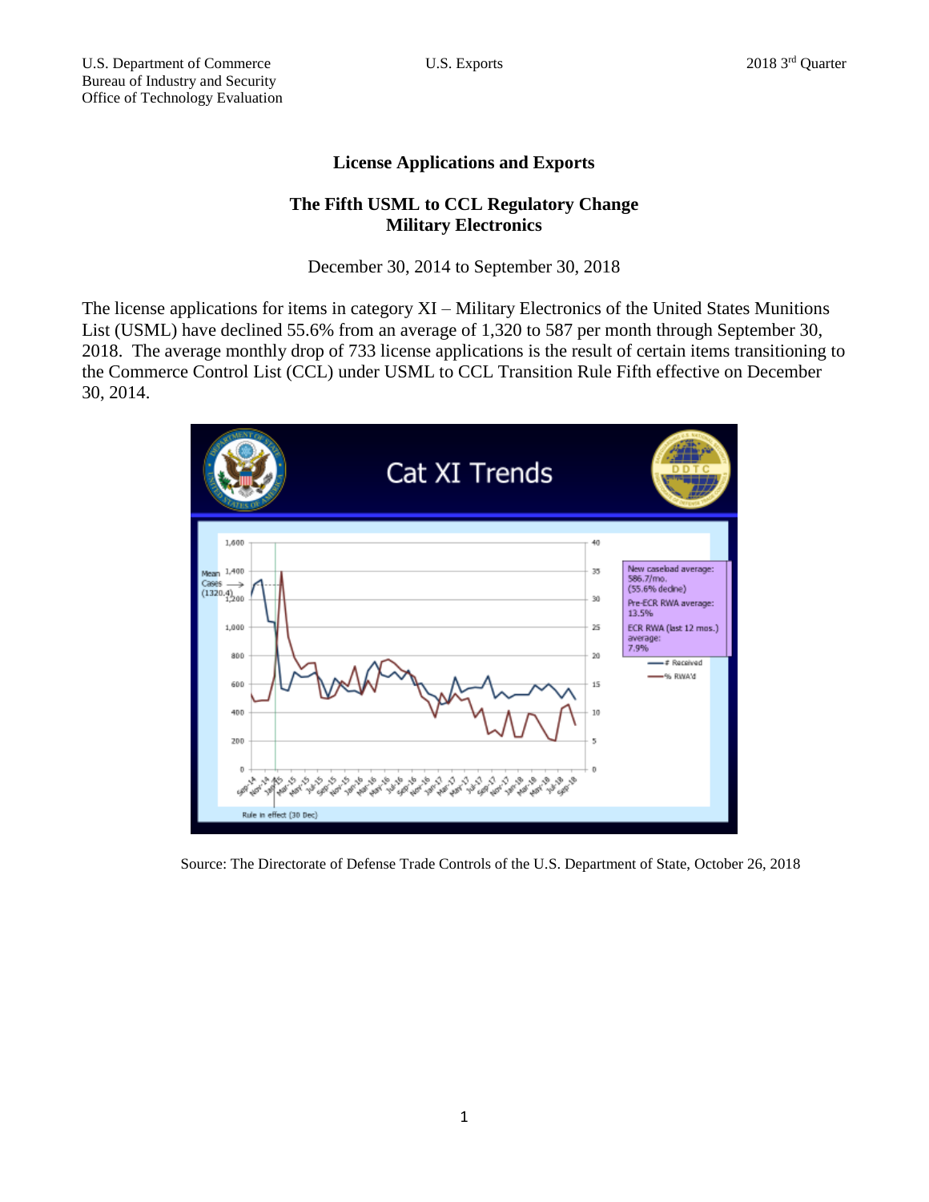## **License Applications and Exports**

## **The Fifth USML to CCL Regulatory Change Military Electronics**

December 30, 2014 to September 30, 2018

The license applications for items in category XI – Military Electronics of the United States Munitions List (USML) have declined 55.6% from an average of 1,320 to 587 per month through September 30, 2018. The average monthly drop of 733 license applications is the result of certain items transitioning to the Commerce Control List (CCL) under USML to CCL Transition Rule Fifth effective on December 30, 2014.



Source: The Directorate of Defense Trade Controls of the U.S. Department of State, October 26, 2018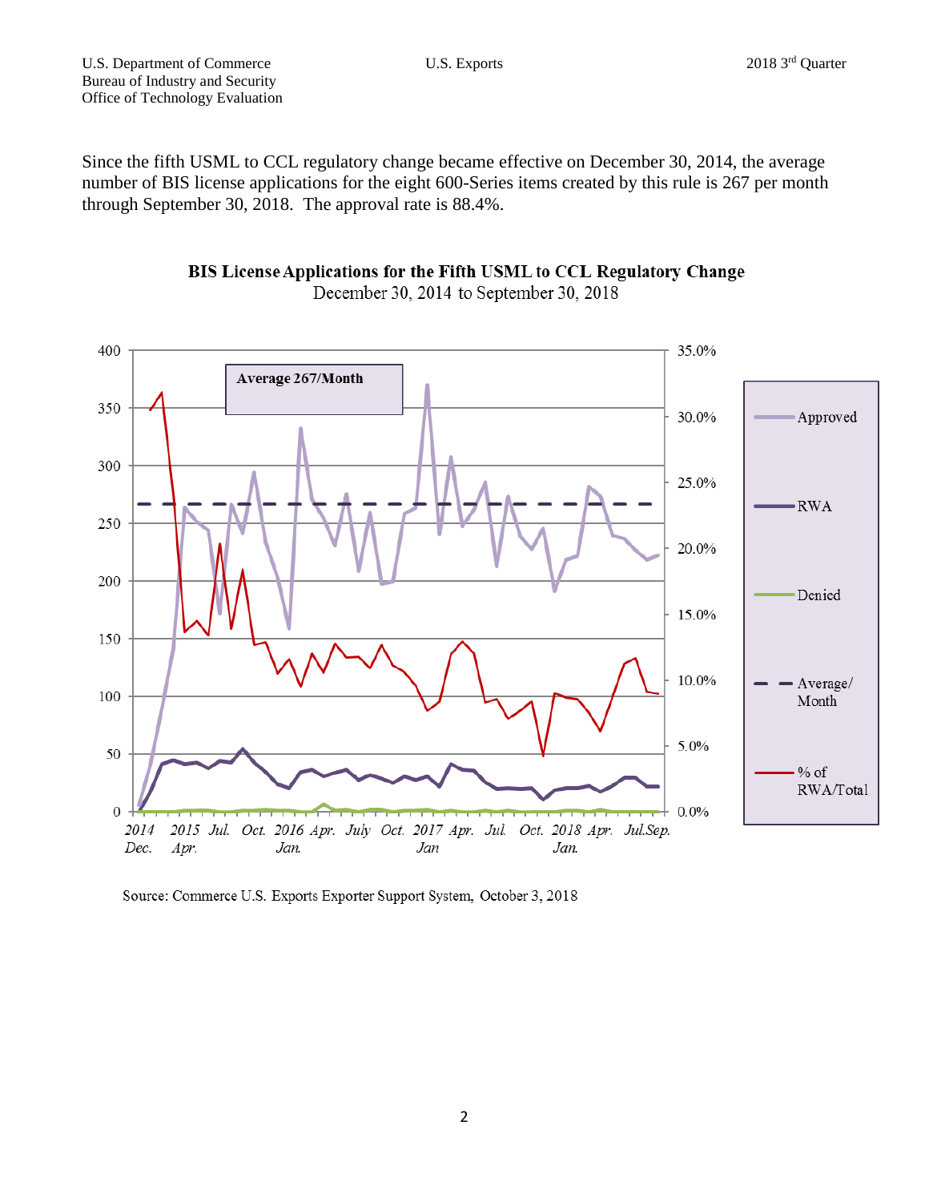Since the fifth USML to CCL regulatory change became effective on December 30, 2014, the average number of BIS license applications for the eight 600-Series items created by this rule is 267 per month through September 30, 2018. The approval rate is 88.4%.





Source: Commerce U.S. Exports Exporter Support System, October 3, 2018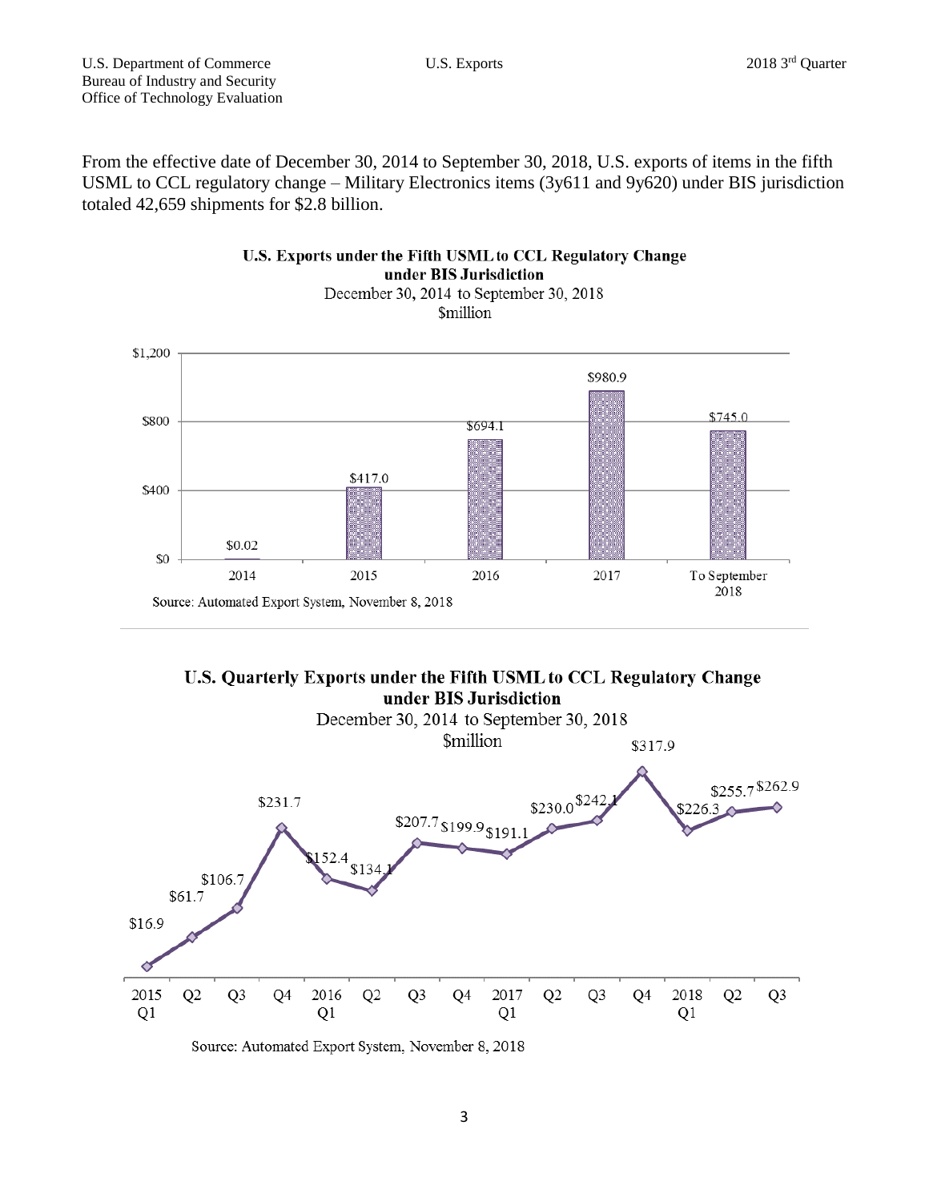From the effective date of December 30, 2014 to September 30, 2018, U.S. exports of items in the fifth USML to CCL regulatory change – Military Electronics items (3y611 and 9y620) under BIS jurisdiction totaled 42,659 shipments for \$2.8 billion.







Source: Automated Export System, November 8, 2018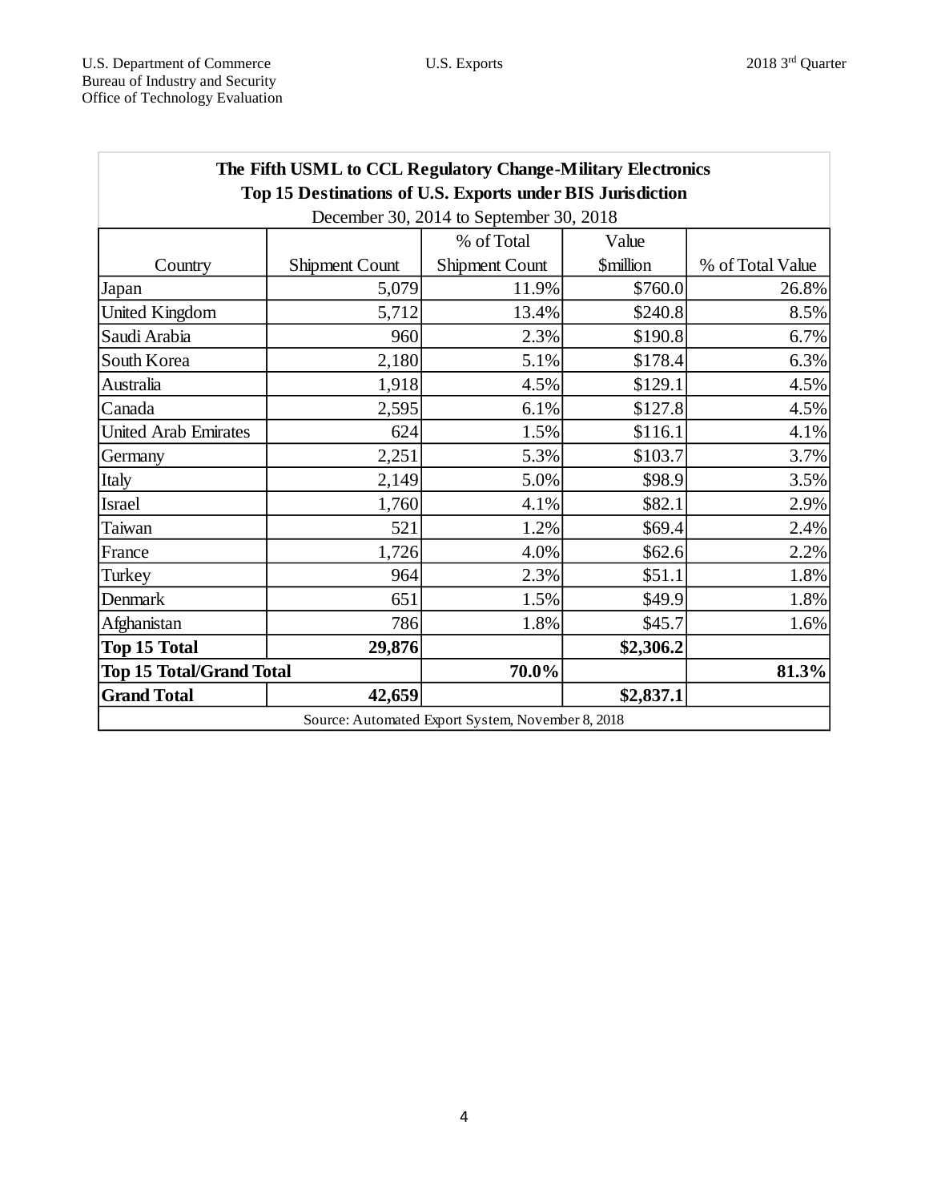| The Fifth USML to CCL Regulatory Change-Military Electronics                                          |                |                |                         |                  |
|-------------------------------------------------------------------------------------------------------|----------------|----------------|-------------------------|------------------|
| Top 15 Destinations of U.S. Exports under BIS Jurisdiction<br>December 30, 2014 to September 30, 2018 |                |                |                         |                  |
|                                                                                                       |                | % of Total     | Value                   |                  |
| Country                                                                                               | Shipment Count | Shipment Count | <i><b>\$million</b></i> | % of Total Value |
| Japan                                                                                                 | 5,079          | 11.9%          | \$760.0                 | 26.8%            |
| United Kingdom                                                                                        | 5,712          | 13.4%          | \$240.8                 | 8.5%             |
| Saudi Arabia                                                                                          | 960            | 2.3%           | \$190.8                 | 6.7%             |
| South Korea                                                                                           | 2,180          | 5.1%           | \$178.4                 | 6.3%             |
| Australia                                                                                             | 1,918          | 4.5%           | \$129.1                 | 4.5%             |
| Canada                                                                                                | 2,595          | 6.1%           | \$127.8                 | 4.5%             |
| <b>United Arab Emirates</b>                                                                           | 624            | 1.5%           | \$116.1                 | 4.1%             |
| Germany                                                                                               | 2,251          | 5.3%           | \$103.7                 | 3.7%             |
| Italy                                                                                                 | 2,149          | 5.0%           | \$98.9                  | 3.5%             |
| Israel                                                                                                | 1,760          | 4.1%           | \$82.1                  | 2.9%             |
| Taiwan                                                                                                | 521            | 1.2%           | \$69.4                  | 2.4%             |
| France                                                                                                | 1,726          | 4.0%           | \$62.6                  | 2.2%             |
| Turkey                                                                                                | 964            | 2.3%           | \$51.1                  | 1.8%             |
| Denmark                                                                                               | 651            | 1.5%           | \$49.9                  | 1.8%             |
| Afghanistan                                                                                           | 786            | 1.8%           | \$45.7                  | 1.6%             |
| <b>Top 15 Total</b>                                                                                   | 29,876         |                | \$2,306.2               |                  |
| <b>Top 15 Total/Grand Total</b>                                                                       |                | 70.0%          |                         | 81.3%            |
| <b>Grand Total</b>                                                                                    | 42,659         |                | \$2,837.1               |                  |
| Source: Automated Export System, November 8, 2018                                                     |                |                |                         |                  |